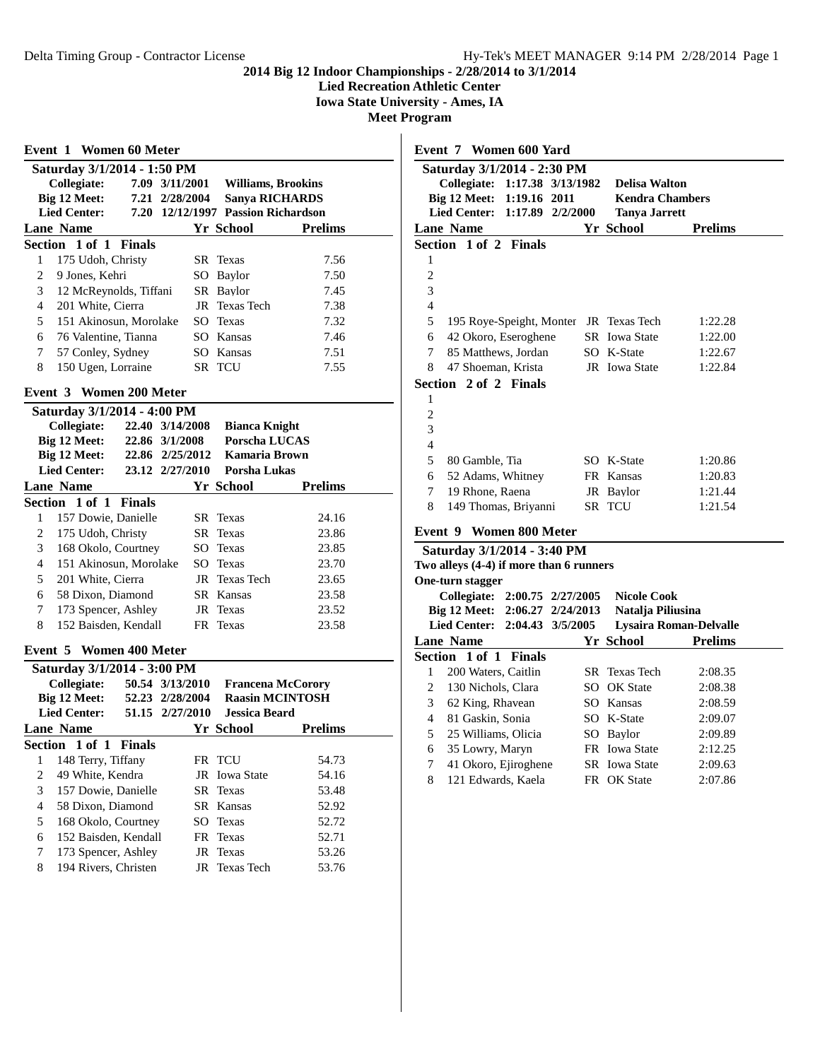**Lied Recreation Athletic Center**

**Iowa State University - Ames, IA**

**Meet Program**

| <b>Event 1 Women 60 Meter</b>       |                 |                                    |                |
|-------------------------------------|-----------------|------------------------------------|----------------|
| Saturday 3/1/2014 - 1:50 PM         |                 |                                    |                |
| <b>Collegiate:</b>                  | 7.09 3/11/2001  | <b>Williams, Brookins</b>          |                |
| Big 12 Meet:                        | 7.21 2/28/2004  | <b>Sanya RICHARDS</b>              |                |
| <b>Lied Center:</b>                 |                 | 7.20 12/12/1997 Passion Richardson |                |
| <b>Lane Name</b>                    |                 | Yr School                          | <b>Prelims</b> |
| Section 1 of 1 Finals               |                 |                                    |                |
| 175 Udoh, Christy<br>1              |                 | SR Texas                           | 7.56           |
| 2<br>9 Jones, Kehri                 |                 | SO Baylor                          | 7.50           |
| 3<br>12 McReynolds, Tiffani         |                 | SR Baylor                          | 7.45           |
| 4<br>201 White, Cierra              |                 | JR Texas Tech                      | 7.38           |
| 5<br>151 Akinosun, Morolake         |                 | SO Texas                           | 7.32           |
| 6<br>76 Valentine, Tianna           |                 | SO Kansas                          | 7.46           |
| 7<br>57 Conley, Sydney              |                 | SO Kansas                          | 7.51           |
| 8<br>150 Ugen, Lorraine             |                 | SR TCU                             | 7.55           |
|                                     |                 |                                    |                |
| Event 3 Women 200 Meter             |                 |                                    |                |
| Saturday 3/1/2014 - 4:00 PM         |                 |                                    |                |
| Collegiate:                         | 22.40 3/14/2008 | <b>Bianca Knight</b>               |                |
| Big 12 Meet:                        | 22.86 3/1/2008  | <b>Porscha LUCAS</b>               |                |
| Big 12 Meet:<br><b>Lied Center:</b> | 22.86 2/25/2012 | Kamaria Brown                      |                |
|                                     | 23.12 2/27/2010 | Porsha Lukas                       |                |
| <b>Lane Name</b>                    |                 | Yr School                          | <b>Prelims</b> |
| Section 1 of 1 Finals               |                 |                                    |                |
| 157 Dowie, Danielle<br>1            |                 | SR Texas                           | 24.16          |
| 2<br>175 Udoh, Christy              |                 | SR Texas                           | 23.86          |
| 3<br>168 Okolo, Courtney            |                 | SO Texas                           | 23.85          |
| 151 Akinosun, Morolake<br>4         |                 | SO Texas                           | 23.70          |
| 201 White, Cierra<br>5              |                 | JR Texas Tech                      | 23.65          |
| 58 Dixon, Diamond<br>6              |                 | SR Kansas                          | 23.58          |
| 173 Spencer, Ashley<br>7            |                 | JR Texas                           | 23.52          |
| 152 Baisden, Kendall<br>8           |                 | FR Texas                           | 23.58          |
| Event 5 Women 400 Meter             |                 |                                    |                |
| Saturday 3/1/2014 - 3:00 PM         |                 |                                    |                |
| Collegiate: 50.54 3/13/2010         |                 | <b>Francena McCorory</b>           |                |
| Big 12 Meet:                        | 52.23 2/28/2004 | <b>Raasin MCINTOSH</b>             |                |
| <b>Lied Center:</b>                 | 51.15 2/27/2010 | <b>Jessica Beard</b>               |                |
| <b>Lane Name</b>                    |                 | Yr School                          | <b>Prelims</b> |
| Section 1 of 1 Finals               |                 |                                    |                |
| 148 Terry, Tiffany<br>1             |                 | FR TCU                             | 54.73          |
| $\overline{c}$<br>49 White, Kendra  |                 | JR Iowa State                      | 54.16          |
| 3<br>157 Dowie, Danielle            | SR              | Texas                              | 53.48          |
| 4<br>58 Dixon, Diamond              |                 | SR Kansas                          | 52.92          |
| 5<br>168 Okolo, Courtney            |                 | SO Texas                           | 52.72          |
| 152 Baisden, Kendall<br>6           | FR              | Texas                              | 52.71          |
| 7<br>173 Spencer, Ashley            | JR              | <b>Texas</b>                       | 53.26          |
| 194 Rivers, Christen<br>8           | JR              | <b>Texas Tech</b>                  | 53.76          |
|                                     |                 |                                    |                |

|                | Event 7 Women 600 Yard                                                       |                                    |                    |
|----------------|------------------------------------------------------------------------------|------------------------------------|--------------------|
|                | Saturday 3/1/2014 - 2:30 PM                                                  |                                    |                    |
|                | <b>Collegiate:</b><br>1:17.38 3/13/1982                                      | <b>Delisa Walton</b>               |                    |
|                | Big 12 Meet:<br>1:19.16 2011                                                 | <b>Kendra Chambers</b>             |                    |
|                | <b>Lied Center:</b><br>1:17.89 2/2/2000                                      | <b>Tanya Jarrett</b>               |                    |
|                | <b>Lane Name</b>                                                             | <b>Yr School</b>                   | <b>Prelims</b>     |
|                | Section 1 of 2 Finals                                                        |                                    |                    |
| 1              |                                                                              |                                    |                    |
| $\overline{c}$ |                                                                              |                                    |                    |
| 3              |                                                                              |                                    |                    |
| $\overline{4}$ |                                                                              |                                    |                    |
| 5              | 195 Roye-Speight, Monter                                                     | JR Texas Tech                      | 1:22.28            |
| 6<br>7         | 42 Okoro, Eseroghene                                                         | <b>SR</b> Iowa State               | 1:22.00            |
| 8              | 85 Matthews, Jordan                                                          | SO K-State<br><b>JR</b> Iowa State | 1:22.67            |
|                | 47 Shoeman, Krista                                                           |                                    | 1:22.84            |
| 1              | Section 2 of 2 Finals                                                        |                                    |                    |
| $\overline{c}$ |                                                                              |                                    |                    |
| 3              |                                                                              |                                    |                    |
| $\overline{4}$ |                                                                              |                                    |                    |
| 5              | 80 Gamble, Tia                                                               | SO K-State                         | 1:20.86            |
| 6              | 52 Adams, Whitney                                                            | FR Kansas                          | 1:20.83            |
| 7              | 19 Rhone, Raena                                                              | JR Baylor                          | 1:21.44            |
| 8              | 149 Thomas, Briyanni                                                         | SR TCU                             | 1:21.54            |
|                |                                                                              |                                    |                    |
|                | Event 9 Women 800 Meter                                                      |                                    |                    |
|                | Saturday 3/1/2014 - 3:40 PM                                                  |                                    |                    |
|                | Two alleys (4-4) if more than 6 runners                                      |                                    |                    |
|                | One-turn stagger                                                             |                                    |                    |
|                | Collegiate: 2:00.75 2/27/2005                                                | <b>Nicole Cook</b>                 |                    |
|                | Big 12 Meet:<br>2:06.27 2/24/2013<br><b>Lied Center:</b><br>2:04.43 3/5/2005 | Natalja Piliusina                  |                    |
|                |                                                                              | Lysaira Roman-Delvalle             |                    |
|                | <b>Lane Name</b>                                                             | Yr School                          | <b>Prelims</b>     |
| Section<br>1   | 1 of 1<br><b>Finals</b><br>200 Waters, Caitlin                               | SR Texas Tech                      |                    |
| 2              | 130 Nichols, Clara                                                           | SO OK State                        | 2:08.35            |
| 3              |                                                                              | SO Kansas                          | 2:08.38<br>2:08.59 |
| $\overline{4}$ | 62 King, Rhavean<br>81 Gaskin, Sonia                                         | SO K-State                         |                    |
| 5              | 25 Williams, Olicia                                                          |                                    | 2:09.07            |
| 6              |                                                                              | SO Baylor<br>FR Iowa State         | 2:09.89<br>2:12.25 |
| 7              | 35 Lowry, Maryn<br>41 Okoro, Ejiroghene                                      | <b>SR</b> Iowa State               | 2:09.63            |
| 8              | 121 Edwards, Kaela                                                           | FR OK State                        | 2:07.86            |
|                |                                                                              |                                    |                    |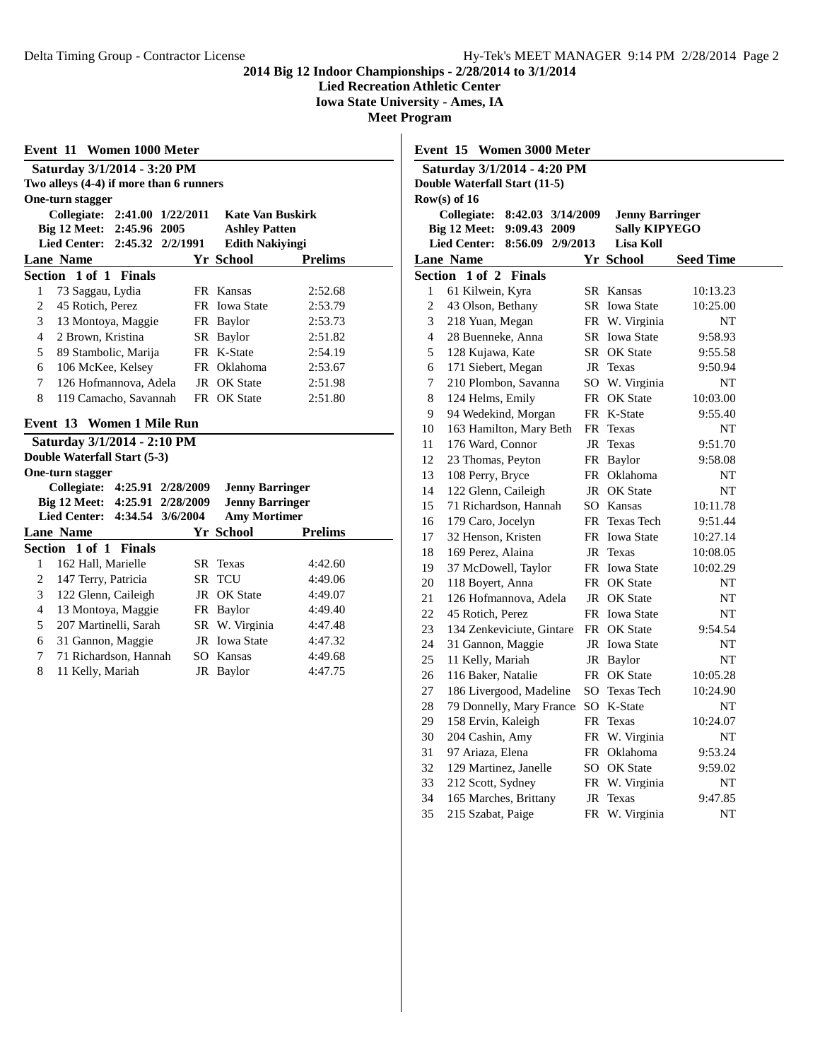**Lied Recreation Athletic Center**

**Iowa State University - Ames, IA**

**Meet Program**

| Event 11 Women 1000 Meter                  |    |                         |                |
|--------------------------------------------|----|-------------------------|----------------|
| Saturday 3/1/2014 - 3:20 PM                |    |                         |                |
| Two alleys (4-4) if more than 6 runners    |    |                         |                |
| One-turn stagger                           |    |                         |                |
| Collegiate: 2:41.00 1/22/2011              |    | <b>Kate Van Buskirk</b> |                |
| Big 12 Meet: 2:45.96 2005                  |    | <b>Ashley Patten</b>    |                |
| <b>Lied Center:</b><br>2:45.32 2/2/1991    |    | <b>Edith Nakiyingi</b>  |                |
| <b>Lane Name</b>                           |    | Yr School               | <b>Prelims</b> |
| Section 1 of 1<br><b>Finals</b>            |    |                         |                |
| $\mathbf{1}$<br>73 Saggau, Lydia           |    | FR Kansas               | 2:52.68        |
| 45 Rotich, Perez<br>2                      |    | FR Iowa State           | 2:53.79        |
| 3<br>13 Montoya, Maggie                    |    | FR Baylor               | 2:53.73        |
| 2 Brown, Kristina<br>4                     |    | SR Baylor               | 2:51.82        |
| 5<br>89 Stambolic, Marija                  |    | FR K-State              | 2:54.19        |
| 6<br>106 McKee, Kelsey                     |    | FR Oklahoma             | 2:53.67        |
| 126 Hofmannova, Adela<br>7                 |    | JR OK State             | 2:51.98        |
| 8<br>119 Camacho, Savannah                 |    | FR OK State             | 2:51.80        |
| Event 13<br>Women 1 Mile Run               |    |                         |                |
| Saturday 3/1/2014 - 2:10 PM                |    |                         |                |
| Double Waterfall Start (5-3)               |    |                         |                |
| One-turn stagger                           |    |                         |                |
| Collegiate: 4:25.91 2/28/2009              |    | <b>Jenny Barringer</b>  |                |
| Big 12 Meet: 4:25.91 2/28/2009             |    | <b>Jenny Barringer</b>  |                |
| <b>Lied Center:</b><br>4:34.54<br>3/6/2004 |    | <b>Amy Mortimer</b>     |                |
| <b>Lane Name</b>                           |    | Yr School               | <b>Prelims</b> |
| Section 1 of 1 Finals                      |    |                         |                |
| 162 Hall, Marielle<br>1                    |    | SR Texas                | 4:42.60        |
| 2<br>147 Terry, Patricia                   |    | SR TCU                  | 4:49.06        |
| 3<br>122 Glenn, Caileigh                   | JR | <b>OK</b> State         | 4:49.07        |
| $\overline{4}$<br>13 Montoya, Maggie       |    | FR Baylor               | 4:49.40        |
| 5<br>207 Martinelli, Sarah                 |    | SR W. Virginia          | 4:47.48        |
| 6<br>31 Gannon, Maggie                     |    | JR Iowa State           | 4:47.32        |
| 7<br>71 Richardson, Hannah                 |    | SO Kansas               | 4:49.68        |

11 Kelly, Mariah JR Baylor 4:47.75

|                | Event 15 Women 3000 Meter                  |           |                          |                      |  |
|----------------|--------------------------------------------|-----------|--------------------------|----------------------|--|
|                | Saturday 3/1/2014 - 4:20 PM                |           |                          |                      |  |
|                | Double Waterfall Start (11-5)              |           |                          |                      |  |
|                | $Row(s)$ of 16                             |           |                          |                      |  |
|                | <b>Collegiate:</b><br>8:42.03 3/14/2009    |           | <b>Jenny Barringer</b>   |                      |  |
|                | <b>Big 12 Meet:</b><br>9:09.43 2009        |           | <b>Sally KIPYEGO</b>     |                      |  |
|                | <b>Lied Center:</b><br>8:56.09<br>2/9/2013 |           | Lisa Koll                |                      |  |
|                | <b>Lane Name</b>                           |           | Yr School                | <b>Seed Time</b>     |  |
| Section        | $1$ of $2$<br><b>Finals</b>                |           |                          |                      |  |
| 1              | 61 Kilwein, Kyra                           |           | <b>SR</b> Kansas         | 10:13.23             |  |
| 2              | 43 Olson, Bethany                          |           | SR Iowa State            | 10:25.00             |  |
| 3              | 218 Yuan, Megan                            |           | FR W. Virginia           | NT                   |  |
| $\overline{4}$ | 28 Buenneke, Anna                          |           | SR Iowa State            | 9:58.93              |  |
| 5              | 128 Kujawa, Kate                           |           | SR OK State              | 9:55.58              |  |
| 6              | 171 Siebert, Megan                         |           | JR Texas                 | 9:50.94              |  |
| 7              | 210 Plombon, Savanna                       |           | SO W. Virginia           | NT                   |  |
| 8              | 124 Helms, Emily                           |           | FR OK State              | 10:03.00             |  |
| 9              | 94 Wedekind, Morgan                        |           | FR K-State               | 9:55.40              |  |
| 10             | 163 Hamilton, Mary Beth                    | FR        | Texas                    | NT                   |  |
| 11             | 176 Ward, Connor                           | JR        | Texas                    | 9:51.70              |  |
| 12             | 23 Thomas, Peyton                          |           | FR Baylor                | 9:58.08              |  |
| 13             | 108 Perry, Bryce                           |           | FR Oklahoma              | NT                   |  |
| 14             | 122 Glenn, Caileigh                        |           | JR OK State              | NT                   |  |
| 15             | 71 Richardson, Hannah                      |           | SO Kansas                | 10:11.78             |  |
| 16             | 179 Caro, Jocelyn                          | <b>FR</b> | <b>Texas Tech</b>        | 9:51.44              |  |
| 17             | 32 Henson, Kristen                         |           | FR Iowa State            | 10:27.14             |  |
| 18             | 169 Perez, Alaina                          |           | JR Texas                 | 10:08.05             |  |
| 19             | 37 McDowell, Taylor                        |           | FR Iowa State            | 10:02.29             |  |
| 20             | 118 Boyert, Anna                           |           | FR OK State              | NT                   |  |
| 21             | 126 Hofmannova, Adela                      |           | JR OK State              | NT                   |  |
| 22             | 45 Rotich, Perez                           |           | FR Iowa State            | NT                   |  |
| 23             | 134 Zenkeviciute, Gintare                  |           | FR OK State              | 9:54.54              |  |
| 24<br>25       | 31 Gannon, Maggie<br>11 Kelly, Mariah      |           | JR Iowa State            | NT                   |  |
|                | 116 Baker, Natalie                         |           | JR Baylor<br>FR OK State | NT                   |  |
| 26<br>27       | 186 Livergood, Madeline                    |           | SO Texas Tech            | 10:05.28<br>10:24.90 |  |
| 28             | 79 Donnelly, Mary France: SO K-State       |           |                          | NT                   |  |
| 29             | 158 Ervin, Kaleigh                         |           | FR Texas                 | 10:24.07             |  |
| 30             | 204 Cashin, Amy                            |           | FR W. Virginia           | NT                   |  |
| 31             | 97 Ariaza, Elena                           |           | FR Oklahoma              | 9:53.24              |  |
| 32             | 129 Martinez, Janelle                      |           | SO OK State              | 9:59.02              |  |
| 33             | 212 Scott, Sydney                          |           | FR W. Virginia           | NT                   |  |
| 34             | 165 Marches, Brittany                      | JR        | Texas                    | 9:47.85              |  |
| 35             | 215 Szabat, Paige                          |           | FR W. Virginia           | NT                   |  |
|                |                                            |           |                          |                      |  |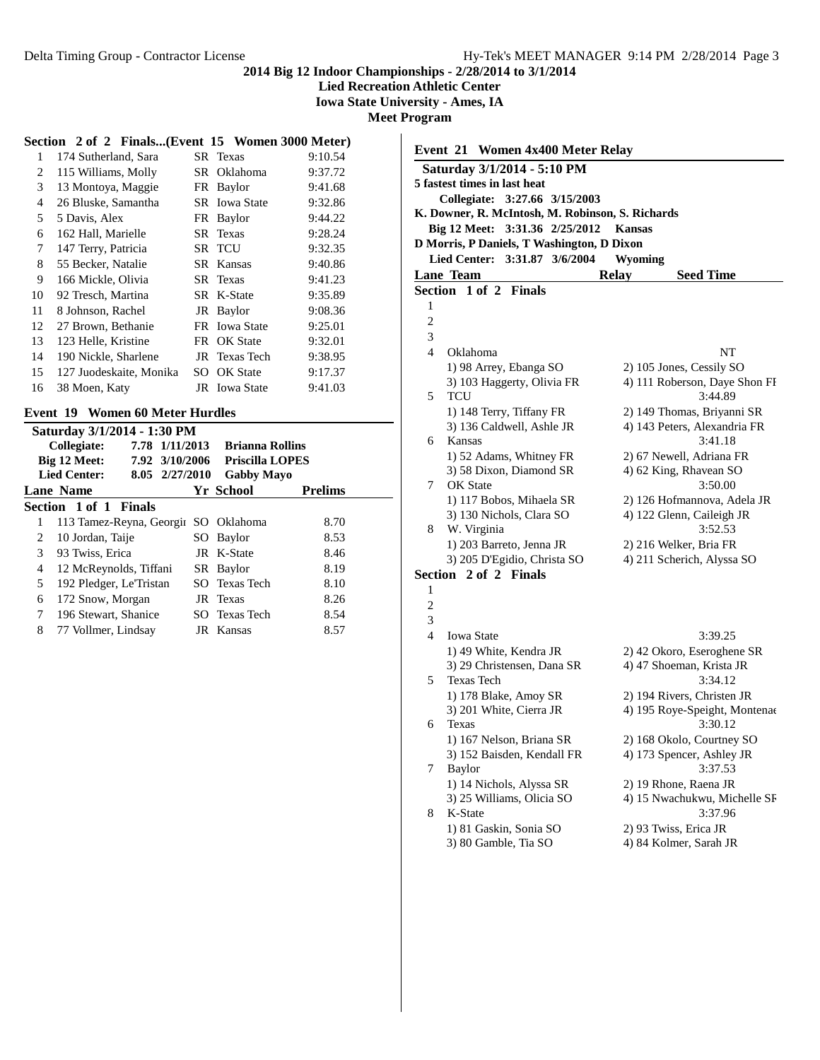**Lied Recreation Athletic Center**

**Iowa State University - Ames, IA**

**Meet Program**

#### **Section 2 of 2 Finals...(Event 15 Women 3000 Meter)**

| 1  | 174 Sutherland, Sara    |     | SR Texas             | 9:10.54 |
|----|-------------------------|-----|----------------------|---------|
| 2  | 115 Williams, Molly     | SR. | Oklahoma             | 9:37.72 |
| 3  | 13 Montoya, Maggie      |     | FR Baylor            | 9:41.68 |
| 4  | 26 Bluske, Samantha     |     | <b>SR</b> Iowa State | 9:32.86 |
| 5  | 5 Davis, Alex           | FR  | Baylor               | 9:44.22 |
| 6  | 162 Hall, Marielle      |     | SR Texas             | 9:28.24 |
| 7  | 147 Terry, Patricia     |     | SR TCU               | 9:32.35 |
| 8  | 55 Becker, Natalie      | SR. | Kansas               | 9:40.86 |
| 9  | 166 Mickle, Olivia      |     | SR Texas             | 9:41.23 |
| 10 | 92 Tresch, Martina      |     | SR K-State           | 9:35.89 |
| 11 | 8 Johnson, Rachel       | JR  | Baylor               | 9:08.36 |
| 12 | 27 Brown, Bethanie      |     | FR Iowa State        | 9:25.01 |
| 13 | 123 Helle, Kristine     |     | FR OK State          | 9:32.01 |
| 14 | 190 Nickle, Sharlene    | JR  | Texas Tech           | 9:38.95 |
| 15 | 127 Juodeskaite, Monika |     | SO OK State          | 9:17.37 |
| 16 | 38 Moen, Katy           |     | <b>JR</b> Iowa State | 9:41.03 |
|    |                         |     |                      |         |

#### **Event 19 Women 60 Meter Hurdles**

|   | Saturday 3/1/2014 - 1:30 PM           |      |                        |                |
|---|---------------------------------------|------|------------------------|----------------|
|   | Collegiate:<br>7.78 1/11/2013         |      | <b>Brianna Rollins</b> |                |
|   | Big 12 Meet:<br>7.92 3/10/2006        |      | <b>Priscilla LOPES</b> |                |
|   | <b>Lied Center:</b><br>8.05 2/27/2010 |      | <b>Gabby Mayo</b>      |                |
|   | Lane Name                             |      | Yr School              | <b>Prelims</b> |
|   | Section 1 of 1 Finals                 |      |                        |                |
| 1 | 113 Tamez-Reyna, Georgin              |      | SO Oklahoma            | 8.70           |
| 2 | 10 Jordan, Taije                      | SO - | Baylor                 | 8.53           |
| 3 | 93 Twiss, Erica                       |      | JR K-State             | 8.46           |
| 4 | 12 McReynolds, Tiffani                |      | SR Baylor              | 8.19           |
| 5 | 192 Pledger, Le'Tristan               |      | SO Texas Tech          | 8.10           |
| 6 | 172 Snow, Morgan                      |      | JR Texas               | 8.26           |
| 7 | 196 Stewart, Shanice                  |      | SO Texas Tech          | 8.54           |
| 8 | 77 Vollmer, Lindsay                   |      | JR Kansas              | 8.57           |

|                | Event 21 Women 4x400 Meter Relay                 |                                          |
|----------------|--------------------------------------------------|------------------------------------------|
|                | Saturday 3/1/2014 - 5:10 PM                      |                                          |
|                | 5 fastest times in last heat                     |                                          |
|                | Collegiate: 3:27.66 3/15/2003                    |                                          |
|                | K. Downer, R. McIntosh, M. Robinson, S. Richards |                                          |
|                | Big 12 Meet: 3:31.36 2/25/2012                   | <b>Kansas</b>                            |
|                | D Morris, P Daniels, T Washington, D Dixon       |                                          |
|                | 3:31.87 3/6/2004<br><b>Lied Center:</b>          | Wyoming                                  |
|                | <b>Lane Team</b>                                 | <b>Seed Time</b><br><b>Relay</b>         |
|                | Section 1 of 2 Finals                            |                                          |
| 1              |                                                  |                                          |
| $\overline{c}$ |                                                  |                                          |
| 3              |                                                  |                                          |
| 4              | Oklahoma                                         | NT                                       |
|                | 1) 98 Arrey, Ebanga SO                           | 2) 105 Jones, Cessily SO                 |
|                | 3) 103 Haggerty, Olivia FR                       | 4) 111 Roberson, Daye Shon FI            |
| 5              | TCU                                              | 3:44.89                                  |
|                | 1) 148 Terry, Tiffany FR                         | 2) 149 Thomas, Briyanni SR               |
|                | 3) 136 Caldwell, Ashle JR                        | 4) 143 Peters, Alexandria FR             |
| 6              | Kansas                                           | 3:41.18                                  |
|                | 1) 52 Adams, Whitney FR                          | 2) 67 Newell, Adriana FR                 |
|                | 3) 58 Dixon, Diamond SR                          | 4) 62 King, Rhavean SO                   |
| 7              | OK State                                         | 3:50.00                                  |
|                | 1) 117 Bobos, Mihaela SR                         | 2) 126 Hofmannova, Adela JR              |
|                | 3) 130 Nichols, Clara SO                         | 4) 122 Glenn, Caileigh JR                |
| 8              | W. Virginia                                      | 3:52.53                                  |
|                | 1) 203 Barreto, Jenna JR                         | 2) 216 Welker, Bria FR                   |
|                | 3) 205 D'Egidio, Christa SO                      | 4) 211 Scherich, Alyssa SO               |
|                | Section 2 of 2 Finals                            |                                          |
| 1              |                                                  |                                          |
| $\overline{2}$ |                                                  |                                          |
| 3              |                                                  |                                          |
| $\overline{4}$ | <b>Iowa State</b>                                | 3:39.25                                  |
|                | 1) 49 White, Kendra JR                           | 2) 42 Okoro, Eseroghene SR               |
| 5              | 3) 29 Christensen, Dana SR                       | 4) 47 Shoeman, Krista JR                 |
|                | <b>Texas Tech</b>                                | 3:34.12                                  |
|                | 1) 178 Blake, Amoy SR                            | 2) 194 Rivers, Christen JR               |
| 6              | 3) 201 White, Cierra JR<br>Texas                 | 4) 195 Roye-Speight, Montenae<br>3:30.12 |
|                | 1) 167 Nelson, Briana SR                         | 2) 168 Okolo, Courtney SO                |
|                | 3) 152 Baisden, Kendall FR                       | 4) 173 Spencer, Ashley JR                |
| 7              | <b>Baylor</b>                                    | 3:37.53                                  |
|                | 1) 14 Nichols, Alyssa SR                         | 2) 19 Rhone, Raena JR                    |
|                | 3) 25 Williams, Olicia SO                        | 4) 15 Nwachukwu, Michelle SF             |
| 8              | K-State                                          | 3:37.96                                  |
|                | 1) 81 Gaskin, Sonia SO                           | 2) 93 Twiss, Erica JR                    |
|                | 3) 80 Gamble, Tia SO                             | 4) 84 Kolmer, Sarah JR                   |
|                |                                                  |                                          |
|                |                                                  |                                          |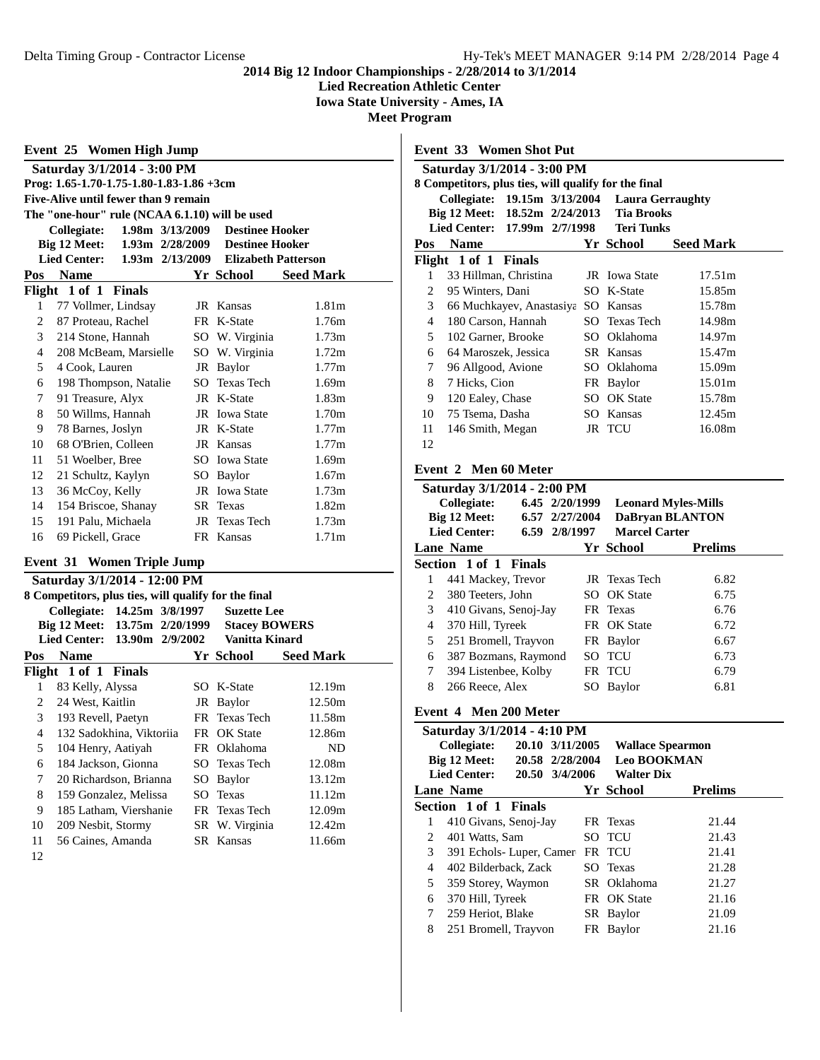**Lied Recreation Athletic Center**

**Iowa State University - Ames, IA**

**Meet Program**

**Event 33 Women Shot Put Saturday 3/1/2014 - 3:00 PM**

|                | Event 25 Women High Jump                              |                 |                            |                   |
|----------------|-------------------------------------------------------|-----------------|----------------------------|-------------------|
|                | Saturday 3/1/2014 - 3:00 PM                           |                 |                            |                   |
|                | Prog: $1.65 - 1.70 - 1.75 - 1.80 - 1.83 - 1.86 + 3cm$ |                 |                            |                   |
|                | Five-Alive until fewer than 9 remain                  |                 |                            |                   |
|                | The "one-hour" rule (NCAA 6.1.10) will be used        |                 |                            |                   |
|                | Collegiate:                                           | 1.98m 3/13/2009 | <b>Destinee Hooker</b>     |                   |
|                | Big 12 Meet:                                          | 1.93m 2/28/2009 | <b>Destinee Hooker</b>     |                   |
|                | <b>Lied Center:</b>                                   | 1.93m 2/13/2009 | <b>Elizabeth Patterson</b> |                   |
| Pos            | <b>Name</b>                                           |                 | Yr School                  | <b>Seed Mark</b>  |
|                | Flight 1 of 1 Finals                                  |                 |                            |                   |
| 1              | 77 Vollmer, Lindsay                                   |                 | JR Kansas                  | 1.81m             |
| 2              | 87 Proteau, Rachel                                    |                 | FR K-State                 | 1.76m             |
| 3              | 214 Stone, Hannah                                     |                 | SO W. Virginia             | 1.73m             |
| $\overline{4}$ | 208 McBeam, Marsielle                                 |                 | SO W. Virginia             | 1.72m             |
| 5              | 4 Cook, Lauren                                        |                 | JR Baylor                  | 1.77m             |
| 6              | 198 Thompson, Natalie                                 |                 | SO Texas Tech              | 1.69m             |
| 7              | 91 Treasure, Alyx                                     |                 | JR K-State                 | 1.83m             |
| 8              | 50 Willms, Hannah                                     |                 | JR Iowa State              | 1.70m             |
| 9              | 78 Barnes, Joslyn                                     |                 | JR K-State                 | 1.77m             |
| 10             | 68 O'Brien, Colleen                                   |                 | JR Kansas                  | 1.77m             |
| 11             | 51 Woelber, Bree                                      |                 | <b>SO</b> Iowa State       | 1.69m             |
| 12             | 21 Schultz, Kaylyn                                    |                 | SO Baylor                  | 1.67m             |
| 13             | 36 McCoy, Kelly                                       |                 | JR Iowa State              | 1.73m             |
| 14             | 154 Briscoe, Shanay                                   | SR              | Texas                      | 1.82m             |
| 15             | 191 Palu, Michaela                                    | JR              | <b>Texas Tech</b>          | 1.73m             |
| 16             | 69 Pickell, Grace                                     |                 | FR Kansas                  | 1.71 <sub>m</sub> |
| Event 31       | <b>Women Triple Jump</b>                              |                 |                            |                   |
|                | Saturday 3/1/2014 - 12:00 PM                          |                 |                            |                   |
|                | 8 Competitors, plus ties, will qualify for the final  |                 |                            |                   |
|                | Collegiate: 14.25m 3/8/1997                           |                 | <b>Suzette Lee</b>         |                   |
|                | Big 12 Meet: 13.75m 2/20/1999                         |                 | <b>Stacey BOWERS</b>       |                   |
|                | Lied Center: 13.90m 2/9/2002                          |                 | Vanitta Kinard             |                   |
| Pos            | <b>Name</b>                                           |                 | Yr School                  | <b>Seed Mark</b>  |
|                | Flight 1 of 1 Finals                                  |                 |                            |                   |
| 1              | 83 Kelly, Alyssa                                      |                 | SO K-State                 | 12.19m            |
| 2              | 24 West, Kaitlin                                      |                 | JR Baylor                  | 12.50m            |
| 3              | 193 Revell, Paetyn                                    |                 | FR Texas Tech              | 11.58m            |
| $\overline{4}$ | 132 Sadokhina, Viktoriia                              |                 | FR OK State                | 12.86m            |
| 5              | 104 Henry, Aatiyah                                    | FR              | Oklahoma                   | ND                |
| 6              | 184 Jackson, Gionna                                   | SO              | <b>Texas Tech</b>          | 12.08m            |
| 7              | 20 Richardson, Brianna                                | SO              | <b>Baylor</b>              | 13.12m            |
| 8              | 159 Gonzalez, Melissa                                 | SO              | Texas                      | 11.12m            |
| 9              | 185 Latham, Viershanie                                | FR              | Texas Tech                 | 12.09m            |
| 10             | 209 Nesbit, Stormy                                    | SR              | W. Virginia                | 12.42m            |
| 11             | 56 Caines, Amanda                                     | SR              | Kansas                     | 11.66m            |
| $\sim$         |                                                       |                 |                            |                   |

12

|                | 8 Competitors, plus ties, will qualify for the final |                  |                |     |                         |                            |
|----------------|------------------------------------------------------|------------------|----------------|-----|-------------------------|----------------------------|
|                | Collegiate:                                          | 19.15m 3/13/2004 |                |     | <b>Laura Gerraughty</b> |                            |
|                | Big 12 Meet:                                         | 18.52m 2/24/2013 |                |     | <b>Tia Brooks</b>       |                            |
|                | <b>Lied Center:</b>                                  | 17.99m 2/7/1998  |                |     | <b>Teri Tunks</b>       |                            |
| Pos            | <b>Name</b>                                          |                  |                |     | Yr School               | <b>Seed Mark</b>           |
| Flight         | 1 of 1                                               | <b>Finals</b>    |                |     |                         |                            |
| 1              | 33 Hillman, Christina                                |                  |                |     | JR Iowa State           | 17.51m                     |
| $\overline{c}$ | 95 Winters, Dani                                     |                  |                |     | SO K-State              | 15.85m                     |
| 3              | 66 Muchkayev, Anastasiya SO Kansas                   |                  |                |     |                         | 15.78m                     |
| $\overline{4}$ | 180 Carson, Hannah                                   |                  |                |     | SO Texas Tech           | 14.98m                     |
| 5              | 102 Garner, Brooke                                   |                  |                |     | SO Oklahoma             | 14.97m                     |
| 6              | 64 Maroszek, Jessica                                 |                  |                |     | SR Kansas               | 15.47m                     |
| 7              | 96 Allgood, Avione                                   |                  |                |     | SO Oklahoma             | 15.09m                     |
| 8              | 7 Hicks, Cion                                        |                  |                |     | FR Baylor               | 15.01 <sub>m</sub>         |
| 9              | 120 Ealey, Chase                                     |                  |                |     | SO OK State             | 15.78m                     |
| 10             | 75 Tsema, Dasha                                      |                  |                |     | SO Kansas               | 12.45m                     |
| 11             | 146 Smith, Megan                                     |                  |                |     | JR TCU                  | 16.08m                     |
| 12             |                                                      |                  |                |     |                         |                            |
|                | Event 2 Men 60 Meter<br>Saturday 3/1/2014 - 2:00 PM  |                  |                |     |                         |                            |
|                | Collegiate:                                          |                  | 6.45 2/20/1999 |     |                         | <b>Leonard Myles-Mills</b> |
|                | Big 12 Meet:                                         |                  | 6.57 2/27/2004 |     |                         | <b>DaBryan BLANTON</b>     |
|                | <b>Lied Center:</b>                                  |                  | 6.59 2/8/1997  |     | <b>Marcel Carter</b>    |                            |
|                | <b>Lane Name</b>                                     |                  |                |     | <b>Yr School</b>        | <b>Prelims</b>             |
|                | Section 1 of 1 Finals                                |                  |                |     |                         |                            |
| 1              | 441 Mackey, Trevor                                   |                  |                | JR  | <b>Texas Tech</b>       | 6.82                       |
| 2              | 380 Teeters, John                                    |                  |                | SO. | <b>OK</b> State         | 6.75                       |
| 3              | 410 Givans, Senoj-Jay                                |                  |                |     | FR Texas                | 6.76                       |
| $\overline{4}$ | 370 Hill, Tyreek                                     |                  |                |     | FR OK State             | 6.72                       |
| 5              | 251 Bromell, Trayvon                                 |                  |                |     | FR Baylor               | 6.67                       |
| 6              | 387 Bozmans, Raymond                                 |                  |                |     | SO TCU                  | 6.73                       |
| 7              | 394 Listenbee, Kolby                                 |                  |                | FR  | <b>TCU</b>              | 6.79                       |
| 8              | 266 Reece, Alex                                      |                  |                | SO. | Baylor                  | 6.81                       |
|                | Event 4 Men 200 Meter                                |                  |                |     |                         |                            |

|  |  |  | Saturday 3/1/2014 - 4:10 PM |  |
|--|--|--|-----------------------------|--|

|   | 5aturuay 3/1/2014 - 4:10 P.M          |                         |                |  |
|---|---------------------------------------|-------------------------|----------------|--|
|   | <b>Collegiate:</b><br>20.10 3/11/2005 | <b>Wallace Spearmon</b> |                |  |
|   | Big 12 Meet:<br>20.58 2/28/2004       | <b>Leo BOOKMAN</b>      |                |  |
|   | <b>Lied Center:</b><br>20.50 3/4/2006 | <b>Walter Dix</b>       |                |  |
|   | <b>Lane Name</b>                      | Yr School               | <b>Prelims</b> |  |
|   | Section 1 of 1 Finals                 |                         |                |  |
| 1 | 410 Givans, Senoj-Jay                 | FR Texas                | 21.44          |  |
| 2 | 401 Watts, Sam                        | SO TCU                  | 21.43          |  |
| 3 | 391 Echols-Luper, Camer               | FR TCU                  | 21.41          |  |
| 4 | 402 Bilderback, Zack                  | SO Texas                | 21.28          |  |
| 5 | 359 Storey, Waymon                    | SR Oklahoma             | 21.27          |  |
| 6 | 370 Hill, Tyreek                      | FR OK State             | 21.16          |  |
| 7 | 259 Heriot, Blake                     | SR Baylor               | 21.09          |  |
| 8 | 251 Bromell, Trayvon                  | FR Baylor               | 21.16          |  |
|   |                                       |                         |                |  |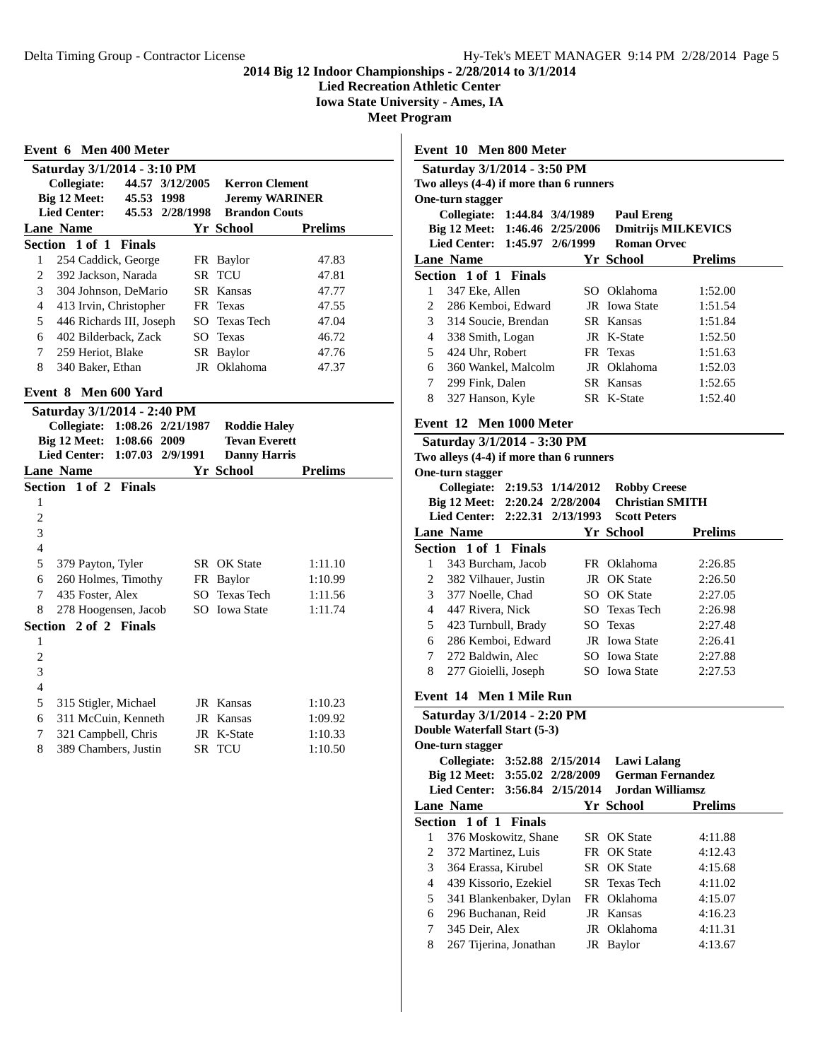**Lied Recreation Athletic Center**

**Iowa State University - Ames, IA**

**Meet Program**

|                | Event 6 Men 400 Meter                       |               |                   |                       |                       |
|----------------|---------------------------------------------|---------------|-------------------|-----------------------|-----------------------|
|                | Saturday 3/1/2014 - 3:10 PM                 |               |                   |                       |                       |
|                | Collegiate:                                 |               | 44.57 3/12/2005   | <b>Kerron Clement</b> |                       |
|                | Big 12 Meet:                                | 45.53 1998    |                   |                       | <b>Jeremy WARINER</b> |
|                | <b>Lied Center:</b>                         |               | 45.53 2/28/1998   | <b>Brandon Couts</b>  |                       |
|                | <b>Lane Name</b>                            |               |                   | <b>Yr School</b>      | <b>Prelims</b>        |
|                | Section 1 of 1                              | <b>Finals</b> |                   |                       |                       |
| 1              | 254 Caddick, George                         |               |                   | FR Baylor             | 47.83                 |
| $\overline{c}$ | 392 Jackson, Narada                         |               |                   | SR TCU                | 47.81                 |
| 3              | 304 Johnson, DeMario                        |               |                   | SR Kansas             | 47.77                 |
| $\overline{4}$ | 413 Irvin, Christopher                      |               |                   | FR Texas              | 47.55                 |
| 5              | 446 Richards III, Joseph                    |               |                   | SO Texas Tech         | 47.04                 |
| 6              | 402 Bilderback, Zack                        |               |                   | SO Texas              | 46.72                 |
| 7              | 259 Heriot, Blake                           |               |                   | SR Baylor             | 47.76                 |
| 8              | 340 Baker, Ethan                            |               |                   | JR Oklahoma           | 47.37                 |
| Event 8        | Men 600 Yard                                |               |                   |                       |                       |
|                | Saturday 3/1/2014 - 2:40 PM                 |               |                   |                       |                       |
|                | Collegiate:                                 |               | 1:08.26 2/21/1987 | <b>Roddie Haley</b>   |                       |
|                |                                             | 1:08.66 2009  |                   | <b>Tevan Everett</b>  |                       |
|                | Big 12 Meet:                                |               |                   |                       |                       |
|                | <b>Lied Center:</b>                         |               | 1:07.03 2/9/1991  | <b>Danny Harris</b>   |                       |
|                | <b>Lane Name</b>                            |               |                   | <b>Yr School</b>      | <b>Prelims</b>        |
|                | Section 1 of 2 Finals                       |               |                   |                       |                       |
| 1              |                                             |               |                   |                       |                       |
| $\overline{c}$ |                                             |               |                   |                       |                       |
| 3              |                                             |               |                   |                       |                       |
| $\overline{4}$ |                                             |               |                   |                       |                       |
| 5              | 379 Payton, Tyler                           |               |                   | SR OK State           | 1:11.10               |
| 6              | 260 Holmes, Timothy                         |               |                   | FR Baylor             | 1:10.99               |
| 7              | 435 Foster, Alex                            |               |                   | SO Texas Tech         | 1:11.56               |
| 8              | 278 Hoogensen, Jacob                        |               |                   | SO Iowa State         | 1:11.74               |
|                | Section 2 of 2 Finals                       |               |                   |                       |                       |
| 1              |                                             |               |                   |                       |                       |
| $\overline{c}$ |                                             |               |                   |                       |                       |
| 3              |                                             |               |                   |                       |                       |
| 4              |                                             |               |                   |                       |                       |
| 5              |                                             |               |                   | JR Kansas             | 1:10.23               |
| 6              | 315 Stigler, Michael<br>311 McCuin, Kenneth |               |                   | JR Kansas             | 1:09.92               |
| 7              | 321 Campbell, Chris                         |               |                   | JR K-State            | 1:10.33               |
| 8              | 389 Chambers, Justin                        |               |                   | SR TCU                | 1:10.50               |

|   | Saturday 3/1/2014 - 3:50 PM<br>Two alleys (4-4) if more than 6 runners |     |                    |                           |
|---|------------------------------------------------------------------------|-----|--------------------|---------------------------|
|   | One-turn stagger                                                       |     |                    |                           |
|   | Collegiate: 1:44.84 3/4/1989<br>Big 12 Meet: 1:46.46 2/25/2006         |     | <b>Paul Ereng</b>  | <b>Dmitrijs MILKEVICS</b> |
|   | Lied Center: 1:45.97 2/6/1999                                          |     | <b>Roman Orvec</b> |                           |
|   | <b>Lane Name</b>                                                       |     | Yr School          | <b>Prelims</b>            |
|   | Section 1 of 1 Finals                                                  |     |                    |                           |
| 1 | 347 Eke, Allen                                                         |     | SO Oklahoma        | 1:52.00                   |
| 2 | 286 Kemboi, Edward                                                     |     | JR Iowa State      | 1:51.54                   |
| 3 | 314 Soucie, Brendan                                                    |     | SR Kansas          | 1:51.84                   |
| 4 | 338 Smith, Logan                                                       |     | JR K-State         | 1:52.50                   |
| 5 | 424 Uhr, Robert                                                        |     | FR Texas           | 1:51.63                   |
| 6 | 360 Wankel, Malcolm                                                    |     | JR Oklahoma        | 1:52.03                   |
| 7 | 299 Fink, Dalen                                                        | SR. | Kansas             | 1:52.65                   |
| 8 | 327 Hanson, Kyle                                                       |     | SR K-State         | 1:52.40                   |

# **Event 12 Men 1000 Meter**

**Event 10 Men 800 Meter**

|                | <b>THEIR TARGET INTERNATION</b>         |                   |                         |                |
|----------------|-----------------------------------------|-------------------|-------------------------|----------------|
|                | Saturday 3/1/2014 - 3:30 PM             |                   |                         |                |
|                | Two alleys (4-4) if more than 6 runners |                   |                         |                |
|                | One-turn stagger                        |                   |                         |                |
|                | Collegiate: 2:19.53 1/14/2012           |                   | <b>Robby Creese</b>     |                |
|                | Big 12 Meet: 2:20.24 2/28/2004          |                   | <b>Christian SMITH</b>  |                |
|                | <b>Lied Center:</b>                     | 2:22.31 2/13/1993 | <b>Scott Peters</b>     |                |
|                | <b>Lane Name</b>                        |                   | Yr School               | <b>Prelims</b> |
|                | Section 1 of 1 Finals                   |                   |                         |                |
| 1              | 343 Burcham, Jacob                      |                   | FR Oklahoma             | 2:26.85        |
| $\overline{c}$ | 382 Vilhauer, Justin                    |                   | JR OK State             | 2:26.50        |
| 3              | 377 Noelle, Chad                        |                   | SO OK State             | 2:27.05        |
| $\overline{4}$ | 447 Rivera, Nick                        |                   | SO Texas Tech           | 2:26.98        |
| 5              | 423 Turnbull, Brady                     |                   | SO Texas                | 2:27.48        |
| 6              | 286 Kemboi, Edward                      |                   | JR Iowa State           | 2:26.41        |
| $\overline{7}$ | 272 Baldwin, Alec                       |                   | SO Iowa State           | 2:27.88        |
| 8              | 277 Gioielli, Joseph                    |                   | SO Iowa State           | 2:27.53        |
|                | Event 14 Men 1 Mile Run                 |                   |                         |                |
|                |                                         |                   |                         |                |
|                | Saturday 3/1/2014 - 2:20 PM             |                   |                         |                |
|                | Double Waterfall Start (5-3)            |                   |                         |                |
|                | One-turn stagger                        |                   |                         |                |
|                | Collegiate: 3:52.88 2/15/2014           |                   | <b>Lawi Lalang</b>      |                |
|                | Big 12 Meet: 3:55.02 2/28/2009          |                   | <b>German Fernandez</b> |                |
|                | <b>Lied Center:</b>                     | 3:56.84 2/15/2014 | <b>Jordan Williamsz</b> |                |
|                | <b>Lane Name</b>                        |                   | Yr School               | <b>Prelims</b> |
|                | Section 1 of 1 Finals                   |                   |                         |                |
| $\mathbf{1}$   | 376 Moskowitz, Shane                    |                   | SR OK State             | 4:11.88        |
| 2              | 372 Martinez, Luis                      |                   | FR OK State             | 4:12.43        |
| 3              | 364 Erassa, Kirubel                     |                   | SR OK State             | 4:15.68        |
| $\overline{4}$ | 439 Kissorio, Ezekiel                   |                   | SR Texas Tech           | 4:11.02        |
| 5              | 341 Blankenbaker, Dylan                 |                   | FR Oklahoma             | 4:15.07        |
| 6              | 296 Buchanan, Reid                      |                   | JR Kansas               | 4:16.23        |
| $\overline{7}$ | 345 Deir, Alex                          |                   | JR Oklahoma             | 4:11.31        |
| 8              | 267 Tijerina, Jonathan                  |                   | JR Baylor               | 4:13.67        |
|                |                                         |                   |                         |                |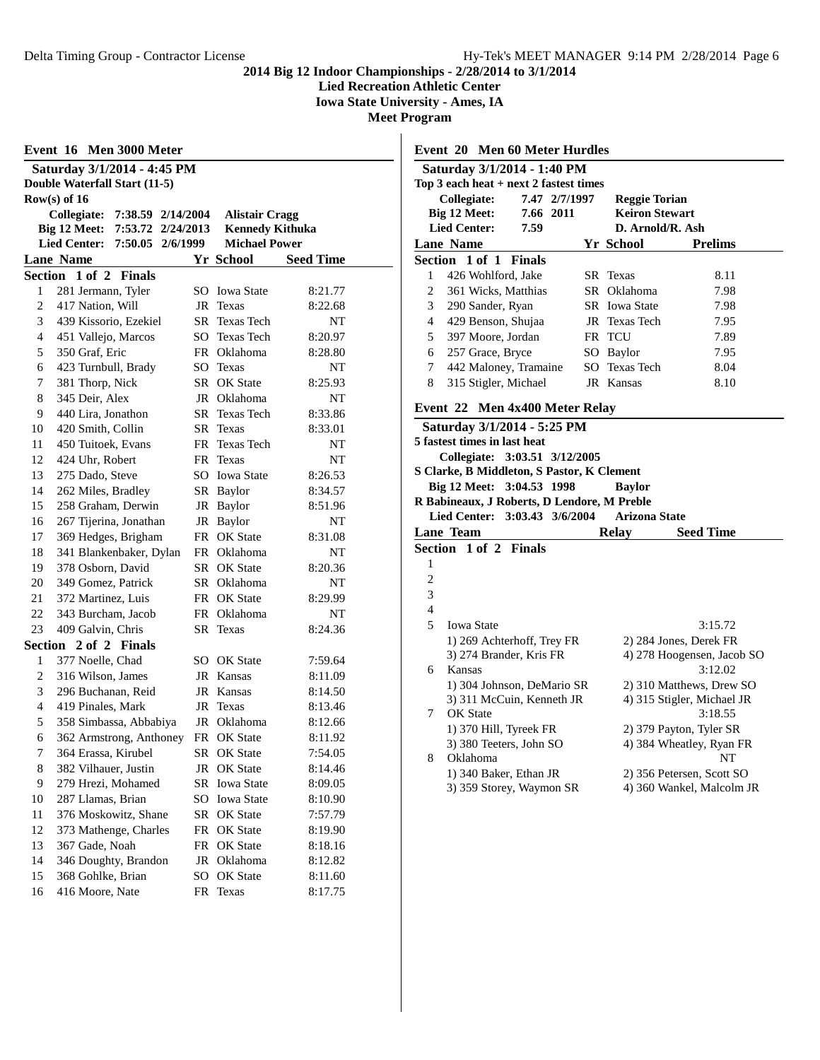**Lied Recreation Athletic Center**

**Iowa State University - Ames, IA**

**Meet Program**

|    | Event 16 Men 3000 Meter                 |                 |                        |                  |
|----|-----------------------------------------|-----------------|------------------------|------------------|
|    | Saturday 3/1/2014 - 4:45 PM             |                 |                        |                  |
|    | Double Waterfall Start (11-5)           |                 |                        |                  |
|    | Row(s) of $16$                          |                 |                        |                  |
|    | 7:38.59 2/14/2004<br>Collegiate:        |                 | <b>Alistair Cragg</b>  |                  |
|    | Big 12 Meet:<br>7:53.72 2/24/2013       |                 | <b>Kennedy Kithuka</b> |                  |
|    | <b>Lied Center:</b><br>7:50.05 2/6/1999 |                 | <b>Michael Power</b>   |                  |
|    | <b>Lane Name</b>                        |                 | Yr School              | <b>Seed Time</b> |
|    | Section 1 of 2<br><b>Finals</b>         |                 |                        |                  |
| 1  | 281 Jermann, Tyler                      |                 | SO Iowa State          | 8:21.77          |
| 2  | 417 Nation, Will                        | JR              | Texas                  | 8:22.68          |
| 3  | 439 Kissorio, Ezekiel                   | SR              | <b>Texas Tech</b>      | NT               |
| 4  | 451 Vallejo, Marcos                     |                 | SO Texas Tech          | 8:20.97          |
| 5  | 350 Graf, Eric                          |                 | FR Oklahoma            | 8:28.80          |
| 6  | 423 Turnbull, Brady                     |                 | SO Texas               | NT               |
| 7  | 381 Thorp, Nick                         | SR              | <b>OK</b> State        | 8:25.93          |
| 8  | 345 Deir, Alex                          |                 | JR Oklahoma            | NT               |
| 9  | 440 Lira, Jonathon                      | SR -            | <b>Texas Tech</b>      | 8:33.86          |
| 10 | 420 Smith, Collin                       |                 | SR Texas               | 8:33.01          |
| 11 | 450 Tuitoek, Evans                      |                 | FR Texas Tech          | NT               |
| 12 | 424 Uhr, Robert                         | FR              | Texas                  | NT               |
| 13 | 275 Dado, Steve                         |                 | SO Iowa State          | 8:26.53          |
| 14 | 262 Miles, Bradley                      |                 | SR Baylor              | 8:34.57          |
| 15 | 258 Graham, Derwin                      | JR              | <b>Baylor</b>          | 8:51.96          |
| 16 | 267 Tijerina, Jonathan                  | JR              | Baylor                 | NT               |
| 17 | 369 Hedges, Brigham                     |                 | FR OK State            | 8:31.08          |
| 18 | 341 Blankenbaker, Dylan                 |                 | FR Oklahoma            | NT               |
| 19 | 378 Osborn, David                       | SR              | OK State               | 8:20.36          |
| 20 | 349 Gomez, Patrick                      | SR              | Oklahoma               | NT               |
| 21 | 372 Martinez, Luis                      | FR              | OK State               | 8:29.99          |
| 22 | 343 Burcham, Jacob                      | FR              | Oklahoma               | NT               |
| 23 | 409 Galvin, Chris                       | SR              | Texas                  | 8:24.36          |
|    | Section 2 of 2 Finals                   |                 |                        |                  |
| 1  | 377 Noelle, Chad                        |                 | SO OK State            | 7:59.64          |
| 2  | 316 Wilson, James                       |                 | JR Kansas              | 8:11.09          |
| 3  | 296 Buchanan, Reid                      |                 | JR Kansas              | 8:14.50          |
| 4  | 419 Pinales, Mark                       |                 | JR Texas               | 8:13.46          |
| 5  | 358 Simbassa, Abbabiya                  | JR              | Oklahoma               | 8:12.66          |
| 6  | 362 Armstrong, Anthoney                 |                 | FR OK State            | 8:11.92          |
| 7  | 364 Erassa, Kirubel                     |                 | SR OK State            | 7:54.05          |
| 8  | 382 Vilhauer, Justin                    | JR              | OK State               | 8:14.46          |
| 9  | 279 Hrezi, Mohamed                      | SR              | <b>Iowa State</b>      | 8:09.05          |
| 10 | 287 Llamas, Brian                       | SO              | <b>Iowa State</b>      | 8:10.90          |
| 11 | 376 Moskowitz, Shane                    | SR              | <b>OK State</b>        | 7:57.79          |
| 12 | 373 Mathenge, Charles                   | FR              | OK State               | 8:19.90          |
| 13 | 367 Gade, Noah                          | FR              | OK State               | 8:18.16          |
| 14 | 346 Doughty, Brandon                    | JR              | Oklahoma               | 8:12.82          |
| 15 | 368 Gohlke, Brian                       | SO <sub>1</sub> | <b>OK State</b>        | 8:11.60          |
| 16 | 416 Moore, Nate                         | FR              | <b>Texas</b>           | 8:17.75          |

|                | <b>Event 20 Men 60 Meter Hurdles</b>        |               |                       |                |  |
|----------------|---------------------------------------------|---------------|-----------------------|----------------|--|
|                | Saturday 3/1/2014 - 1:40 PM                 |               |                       |                |  |
|                | Top 3 each heat $+$ next 2 fastest times    |               |                       |                |  |
|                | Collegiate:                                 | 7.47 2/7/1997 | <b>Reggie Torian</b>  |                |  |
|                | Big 12 Meet:                                | 7.66 2011     | <b>Keiron Stewart</b> |                |  |
|                | <b>Lied Center:</b>                         | 7.59          | D. Arnold/R. Ash      |                |  |
|                | <b>Lane Name</b>                            |               | Yr School             | <b>Prelims</b> |  |
|                | Section 1 of 1 Finals                       |               |                       |                |  |
| 1              | 426 Wohlford, Jake                          |               | SR Texas              | 8.11           |  |
| $\overline{2}$ | 361 Wicks, Matthias                         |               | SR Oklahoma           | 7.98           |  |
| 3              | 290 Sander, Ryan                            |               | <b>SR</b> Iowa State  | 7.98           |  |
| 4              | 429 Benson, Shujaa                          |               | JR Texas Tech         | 7.95           |  |
| $\mathfrak{F}$ | 397 Moore, Jordan                           |               | FR TCU                | 7.89           |  |
| 6              | 257 Grace, Bryce                            |               | SO Baylor             | 7.95           |  |
| $7^{\circ}$    | 442 Maloney, Tramaine                       |               | SO Texas Tech         | 8.04           |  |
| 8              | 315 Stigler, Michael                        |               | JR Kansas             | 8.10           |  |
|                | Event 22 Men 4x400 Meter Relay              |               |                       |                |  |
|                | Saturday 3/1/2014 - 5:25 PM                 |               |                       |                |  |
|                | 5 fastest times in last heat                |               |                       |                |  |
|                | Collegiate: 3:03.51 3/12/2005               |               |                       |                |  |
|                | S Clarke, B Middleton, S Pastor, K Clement  |               |                       |                |  |
|                | Big 12 Meet: 3:04.53 1998                   |               | <b>Baylor</b>         |                |  |
|                | R Babineaux, J Roberts, D Lendore, M Preble |               |                       |                |  |

|                | Lied Center: 3:03.43 3/6/2004 | Arizona State              |  |
|----------------|-------------------------------|----------------------------|--|
|                | <b>Lane Team</b>              | <b>Seed Time</b><br>Relay  |  |
|                | <b>Section 1 of 2 Finals</b>  |                            |  |
| 1              |                               |                            |  |
| 2              |                               |                            |  |
| 3              |                               |                            |  |
| $\overline{4}$ |                               |                            |  |
| 5              | <b>Iowa State</b>             | 3:15.72                    |  |
|                | 1) 269 Achterhoff, Trey FR    | 2) 284 Jones, Derek FR     |  |
|                | 3) 274 Brander, Kris FR       | 4) 278 Hoogensen, Jacob SO |  |
| 6              | Kansas                        | 3:12.02                    |  |
|                | 1) 304 Johnson, DeMario SR    | 2) 310 Matthews, Drew SO   |  |
|                | 3) 311 McCuin, Kenneth JR     | 4) 315 Stigler, Michael JR |  |
| 7              | <b>OK</b> State               | 3:18.55                    |  |
|                | 1) 370 Hill, Tyreek FR        | 2) 379 Payton, Tyler SR    |  |
|                | 3) 380 Teeters, John SO       | 4) 384 Wheatley, Ryan FR   |  |
| 8              | Oklahoma                      | NT                         |  |
|                | 1) 340 Baker, Ethan JR        | 2) 356 Petersen, Scott SO  |  |
|                | 3) 359 Storey, Waymon SR      | 4) 360 Wankel, Malcolm JR  |  |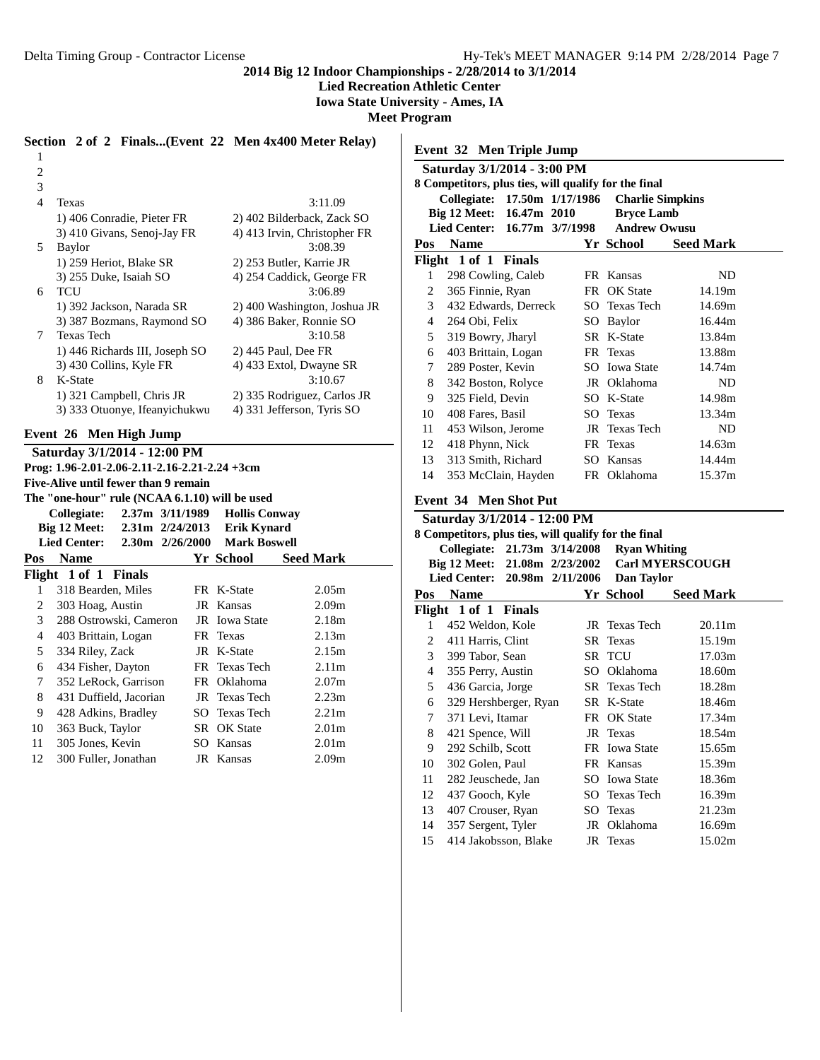1 2 **2014 Big 12 Indoor Championships - 2/28/2014 to 3/1/2014**

**Lied Recreation Athletic Center**

**Iowa State University - Ames, IA**

**Meet Program**

#### **Section 2 of 2 Finals...(Event 22 Men 4x400 Meter Relay)**

| 3 |                                |                              |
|---|--------------------------------|------------------------------|
| 4 | Texas                          | 3:11.09                      |
|   | 1) 406 Conradie, Pieter FR     | 2) 402 Bilderback, Zack SO   |
|   | 3) 410 Givans, Senoj-Jay FR    | 4) 413 Irvin, Christopher FR |
| 5 | Baylor                         | 3:08.39                      |
|   | 1) 259 Heriot, Blake SR        | 2) 253 Butler, Karrie JR     |
|   | 3) 255 Duke, Isaiah SO         | 4) 254 Caddick, George FR    |
| 6 | TCU                            | 3:06.89                      |
|   | 1) 392 Jackson, Narada SR      | 2) 400 Washington, Joshua JR |
|   | 3) 387 Bozmans, Raymond SO     | 4) 386 Baker, Ronnie SO      |
| 7 | <b>Texas Tech</b>              | 3:10.58                      |
|   | 1) 446 Richards III, Joseph SO | 2) 445 Paul, Dee FR          |
|   | 3) 430 Collins, Kyle FR        | 4) 433 Extol, Dwayne SR      |
| 8 | K-State                        | 3:10.67                      |
|   | 1) 321 Campbell, Chris JR      | 2) 335 Rodriguez, Carlos JR  |
|   | 3) 333 Otuonye, Ifeanyichukwu  | 4) 331 Jefferson, Tyris SO   |

## **Event 26 Men High Jump**

|     | Saturday 3/1/2014 - 12:00 PM                                 |                 |                      |                   |
|-----|--------------------------------------------------------------|-----------------|----------------------|-------------------|
|     | Prog: $1.96 - 2.01 - 2.06 - 2.11 - 2.16 - 2.21 - 2.24 + 3cm$ |                 |                      |                   |
|     | Five-Alive until fewer than 9 remain                         |                 |                      |                   |
|     | The "one-hour" rule (NCAA 6.1.10) will be used               |                 |                      |                   |
|     | Collegiate:                                                  | 2.37m 3/11/1989 | <b>Hollis Conway</b> |                   |
|     | Big 12 Meet: 2.31m 2/24/2013 Erik Kynard                     |                 |                      |                   |
|     | Lied Center: 2.30m 2/26/2000 Mark Boswell                    |                 |                      |                   |
| Pos | <b>Name</b>                                                  |                 | Yr School            | <b>Seed Mark</b>  |
|     | Flight 1 of 1 Finals                                         |                 |                      |                   |
| 1   | 318 Bearden, Miles                                           |                 | FR K-State           | 2.05 <sub>m</sub> |
| 2   | 303 Hoag, Austin                                             |                 | JR Kansas            | 2.09 <sub>m</sub> |
| 3   | 288 Ostrowski, Cameron                                       |                 | JR Iowa State        | 2.18m             |
| 4   | 403 Brittain, Logan                                          |                 | FR Texas             | 2.13m             |
| 5   | 334 Riley, Zack                                              |                 | JR K-State           | 2.15m             |
| 6   | 434 Fisher, Dayton                                           |                 | FR Texas Tech        | 2.11 <sub>m</sub> |
| 7   | 352 LeRock, Garrison                                         |                 | FR Oklahoma          | 2.07 <sub>m</sub> |
| 8   | 431 Duffield, Jacorian                                       |                 | JR Texas Tech        | 2.23m             |
| 9   | 428 Adkins, Bradley                                          |                 | SO Texas Tech        | 2.21 <sub>m</sub> |
| 10  | 363 Buck, Taylor                                             |                 | SR OK State          | 2.01 <sub>m</sub> |
| 11  | 305 Jones, Kevin                                             |                 | SO Kansas            | 2.01 <sub>m</sub> |
| 12  | 300 Fuller, Jonathan                                         |                 | JR Kansas            | 2.09 <sub>m</sub> |
|     |                                                              |                 |                      |                   |

|     | Saturday 3/1/2014 - 3:00 PM<br>8 Competitors, plus ties, will qualify for the final                   |      |                                                                     |                  |
|-----|-------------------------------------------------------------------------------------------------------|------|---------------------------------------------------------------------|------------------|
|     | 17.50m 1/17/1986<br>Collegiate:<br>Big 12 Meet: 16.47m 2010<br><b>Lied Center:</b><br>16.77m 3/7/1998 |      | <b>Charlie Simpkins</b><br><b>Bryce Lamb</b><br><b>Andrew Owusu</b> |                  |
| Pos | <b>Name</b>                                                                                           |      | Yr School                                                           | <b>Seed Mark</b> |
|     | Flight 1 of 1 Finals                                                                                  |      |                                                                     |                  |
| 1   | 298 Cowling, Caleb                                                                                    |      | FR Kansas                                                           | ND.              |
| 2   | 365 Finnie, Ryan                                                                                      | FR - | OK State                                                            | 14.19m           |
| 3   | 432 Edwards, Derreck                                                                                  |      | SO Texas Tech                                                       | 14.69m           |
| 4   | 264 Obi, Felix                                                                                        |      | SO Baylor                                                           | 16.44m           |
| 5   | 319 Bowry, Jharyl                                                                                     |      | SR K-State                                                          | 13.84m           |
| 6   | 403 Brittain, Logan                                                                                   |      | FR Texas                                                            | 13.88m           |
| 7   | 289 Poster, Kevin                                                                                     |      | SO Iowa State                                                       | 14.74m           |
| 8   | 342 Boston, Rolyce                                                                                    |      | JR Oklahoma                                                         | ND               |
| 9   | 325 Field, Devin                                                                                      |      | SO K-State                                                          | 14.98m           |
| 10  | 408 Fares, Basil                                                                                      |      | SO Texas                                                            | 13.34m           |
| 11  | 453 Wilson, Jerome                                                                                    | JR   | <b>Texas Tech</b>                                                   | ND               |
| 12  | 418 Phynn, Nick                                                                                       |      | FR Texas                                                            | 14.63m           |
| 13  | 313 Smith, Richard                                                                                    |      | SO Kansas                                                           | 14.44m           |
| 14  | 353 McClain, Hayden                                                                                   |      | FR Oklahoma                                                         | 15.37m           |

|                | Saturday 3/1/2014 - 12:00 PM                         |  |                     |                        |  |  |  |  |
|----------------|------------------------------------------------------|--|---------------------|------------------------|--|--|--|--|
|                | 8 Competitors, plus ties, will qualify for the final |  |                     |                        |  |  |  |  |
|                | Collegiate: 21.73m 3/14/2008                         |  | <b>Ryan Whiting</b> |                        |  |  |  |  |
|                | Big 12 Meet: 21.08m 2/23/2002                        |  |                     | <b>Carl MYERSCOUGH</b> |  |  |  |  |
|                | Lied Center: 20.98m 2/11/2006                        |  | Dan Taylor          |                        |  |  |  |  |
| Pos            | Name                                                 |  | Yr School           | <b>Seed Mark</b>       |  |  |  |  |
|                | Flight 1 of 1 Finals                                 |  |                     |                        |  |  |  |  |
| 1              | 452 Weldon, Kole                                     |  | JR Texas Tech       | 20.11m                 |  |  |  |  |
| $\overline{2}$ | 411 Harris, Clint                                    |  | SR Texas            | 15.19m                 |  |  |  |  |
| $\mathfrak{Z}$ | 399 Tabor, Sean                                      |  | SR TCU              | 17.03m                 |  |  |  |  |
| 4              | 355 Perry, Austin                                    |  | SO Oklahoma         | 18.60m                 |  |  |  |  |
| 5              | 436 Garcia, Jorge                                    |  | SR Texas Tech       | 18.28m                 |  |  |  |  |
| 6              | 329 Hershberger, Ryan                                |  | SR K-State          | 18.46m                 |  |  |  |  |
| 7              | 371 Levi, Itamar                                     |  | FR OK State         | 17.34m                 |  |  |  |  |
| 8              | 421 Spence, Will                                     |  | JR Texas            | 18.54m                 |  |  |  |  |
| 9              | 292 Schilb, Scott                                    |  | FR Iowa State       | 15.65m                 |  |  |  |  |
| 10             | 302 Golen, Paul                                      |  | FR Kansas           | 15.39m                 |  |  |  |  |
| 11             | 282 Jeuschede, Jan                                   |  | SO Iowa State       | 18.36m                 |  |  |  |  |
| 12             | 437 Gooch, Kyle                                      |  | SO Texas Tech       | 16.39m                 |  |  |  |  |
| 13             | 407 Crouser, Ryan                                    |  | SO Texas            | 21.23m                 |  |  |  |  |
| 14             | 357 Sergent, Tyler                                   |  | JR Oklahoma         | 16.69m                 |  |  |  |  |
| 15             | 414 Jakobsson, Blake                                 |  | JR Texas            | 15.02m                 |  |  |  |  |